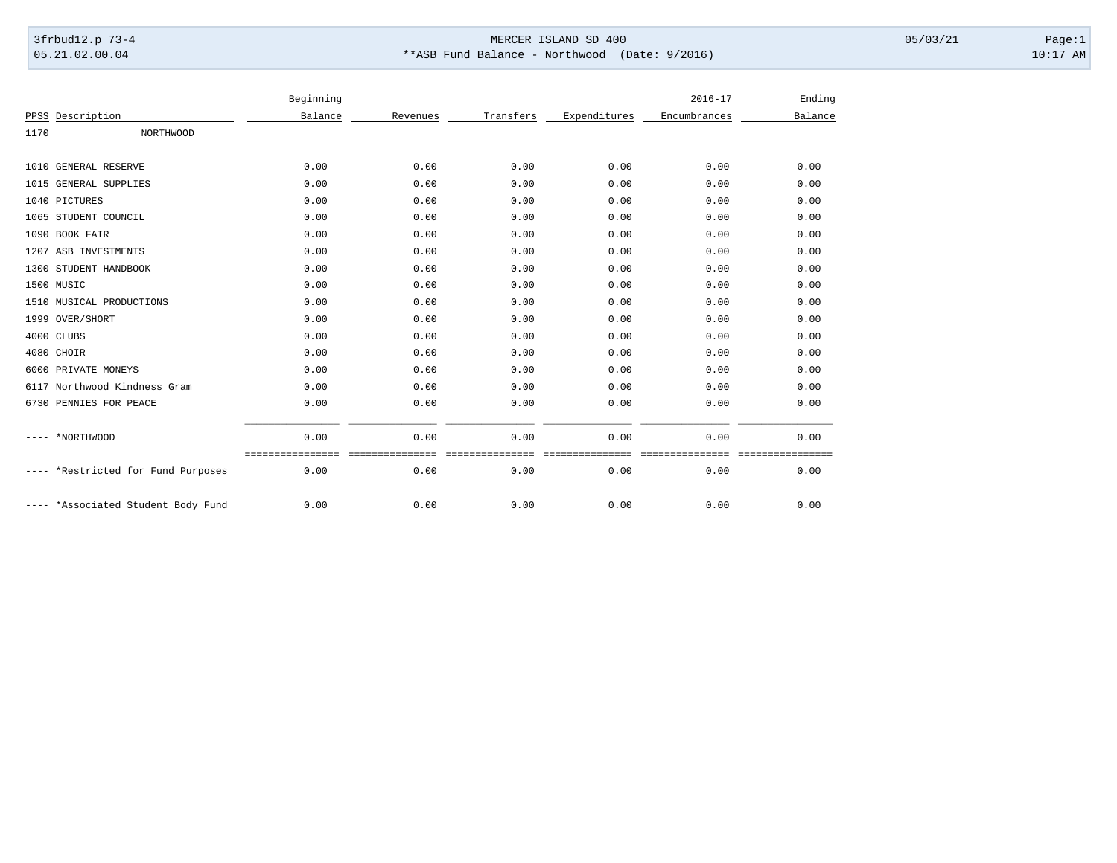## 3frbud12.p 73-4 Page:1 Page:1 05.21.02.00.04 \*\*ASB Fund Balance - Northwood (Date: 9/2016) 10:17 AM

|      |                               | Beginning |          |           |              | $2016 - 17$  | Ending          |
|------|-------------------------------|-----------|----------|-----------|--------------|--------------|-----------------|
| PPSS | Description                   | Balance   | Revenues | Transfers | Expenditures | Encumbrances | Balance         |
| 1170 | NORTHWOOD                     |           |          |           |              |              |                 |
| 1010 | GENERAL RESERVE               | 0.00      | 0.00     | 0.00      | 0.00         | 0.00         | 0.00            |
|      | 1015 GENERAL SUPPLIES         | 0.00      | 0.00     | 0.00      | 0.00         | 0.00         | 0.00            |
|      | 1040 PICTURES                 | 0.00      | 0.00     | 0.00      | 0.00         | 0.00         | 0.00            |
|      | 1065 STUDENT COUNCIL          | 0.00      | 0.00     | 0.00      | 0.00         | 0.00         | 0.00            |
|      | 1090 BOOK FAIR                | 0.00      | 0.00     | 0.00      | 0.00         | 0.00         | 0.00            |
|      | 1207 ASB INVESTMENTS          | 0.00      | 0.00     | 0.00      | 0.00         | 0.00         | 0.00            |
| 1300 | STUDENT HANDBOOK              | 0.00      | 0.00     | 0.00      | 0.00         | 0.00         | 0.00            |
|      | 1500 MUSIC                    | 0.00      | 0.00     | 0.00      | 0.00         | 0.00         | 0.00            |
| 1510 | MUSICAL PRODUCTIONS           | 0.00      | 0.00     | 0.00      | 0.00         | 0.00         | 0.00            |
|      | 1999 OVER/SHORT               | 0.00      | 0.00     | 0.00      | 0.00         | 0.00         | 0.00            |
|      | 4000 CLUBS                    | 0.00      | 0.00     | 0.00      | 0.00         | 0.00         | 0.00            |
|      | 4080 CHOIR                    | 0.00      | 0.00     | 0.00      | 0.00         | 0.00         | 0.00            |
| 6000 | PRIVATE MONEYS                | 0.00      | 0.00     | 0.00      | 0.00         | 0.00         | 0.00            |
| 6117 | Northwood Kindness Gram       | 0.00      | 0.00     | 0.00      | 0.00         | 0.00         | 0.00            |
| 6730 | PENNIES FOR PEACE             | 0.00      | 0.00     | 0.00      | 0.00         | 0.00         | 0.00            |
|      | *NORTHWOOD                    | 0.00      | 0.00     | 0.00      | 0.00         | 0.00         | 0.00            |
|      | *Restricted for Fund Purposes | 0.00      | 0.00     | 0.00      | 0.00         | 0.00         | -------<br>0.00 |
|      | *Associated Student Body Fund | 0.00      | 0.00     | 0.00      | 0.00         | 0.00         | 0.00            |